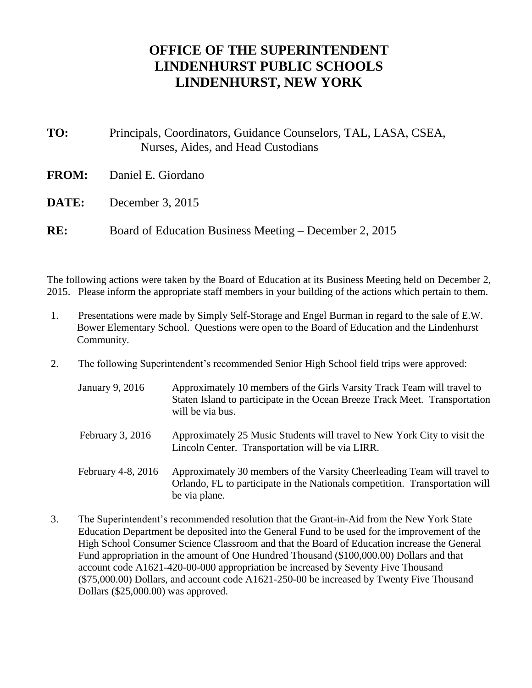## **OFFICE OF THE SUPERINTENDENT LINDENHURST PUBLIC SCHOOLS LINDENHURST, NEW YORK**

- **TO:** Principals, Coordinators, Guidance Counselors, TAL, LASA, CSEA, Nurses, Aides, and Head Custodians
- **FROM:** Daniel E. Giordano
- **DATE:** December 3, 2015
- **RE:** Board of Education Business Meeting December 2, 2015

be via plane.

The following actions were taken by the Board of Education at its Business Meeting held on December 2, 2015. Please inform the appropriate staff members in your building of the actions which pertain to them.

- 1. Presentations were made by Simply Self-Storage and Engel Burman in regard to the sale of E.W. Bower Elementary School. Questions were open to the Board of Education and the Lindenhurst Community.
- 2. The following Superintendent's recommended Senior High School field trips were approved:

| January 9, 2016    | Approximately 10 members of the Girls Varsity Track Team will travel to<br>Staten Island to participate in the Ocean Breeze Track Meet. Transportation<br>will be via bus. |
|--------------------|----------------------------------------------------------------------------------------------------------------------------------------------------------------------------|
| February $3, 2016$ | Approximately 25 Music Students will travel to New York City to visit the<br>Lincoln Center. Transportation will be via LIRR.                                              |
| February 4-8, 2016 | Approximately 30 members of the Varsity Cheerleading Team will travel to<br>Orlando, FL to participate in the Nationals competition. Transportation will                   |

3. The Superintendent's recommended resolution that the Grant-in-Aid from the New York State Education Department be deposited into the General Fund to be used for the improvement of the High School Consumer Science Classroom and that the Board of Education increase the General Fund appropriation in the amount of One Hundred Thousand (\$100,000.00) Dollars and that account code A1621-420-00-000 appropriation be increased by Seventy Five Thousand (\$75,000.00) Dollars, and account code A1621-250-00 be increased by Twenty Five Thousand Dollars (\$25,000.00) was approved.